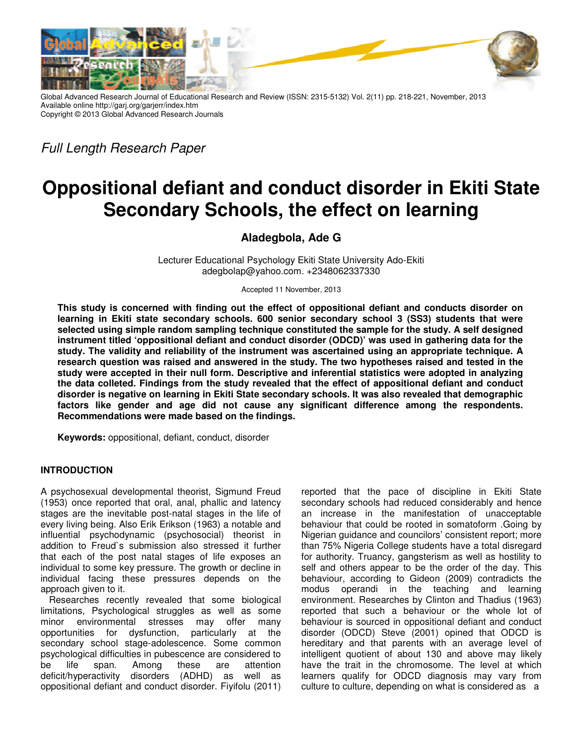

Global Advanced Research Journal of Educational Research and Review (ISSN: 2315-5132) Vol. 2(11) pp. 218-221, November, 2013 Available online http://garj.org/garjerr/index.htm Copyright © 2013 Global Advanced Research Journals

*Full Length Research Paper* 

# **Oppositional defiant and conduct disorder in Ekiti State Secondary Schools, the effect on learning**

## **Aladegbola, Ade G**

Lecturer Educational Psychology Ekiti State University Ado-Ekiti adegbolap@yahoo.com. +2348062337330

Accepted 11 November, 2013

**This study is concerned with finding out the effect of oppositional defiant and conducts disorder on learning in Ekiti state secondary schools. 600 senior secondary school 3 (SS3) students that were selected using simple random sampling technique constituted the sample for the study. A self designed instrument titled 'oppositional defiant and conduct disorder (ODCD)' was used in gathering data for the study. The validity and reliability of the instrument was ascertained using an appropriate technique. A research question was raised and answered in the study. The two hypotheses raised and tested in the study were accepted in their null form. Descriptive and inferential statistics were adopted in analyzing the data colleted. Findings from the study revealed that the effect of appositional defiant and conduct disorder is negative on learning in Ekiti State secondary schools. It was also revealed that demographic factors like gender and age did not cause any significant difference among the respondents. Recommendations were made based on the findings.** 

**Keywords:** oppositional, defiant, conduct, disorder

### **INTRODUCTION**

A psychosexual developmental theorist, Sigmund Freud (1953) once reported that oral, anal, phallic and latency stages are the inevitable post-natal stages in the life of every living being. Also Erik Erikson (1963) a notable and influential psychodynamic (psychosocial) theorist in addition to Freud`s submission also stressed it further that each of the post natal stages of life exposes an individual to some key pressure. The growth or decline in individual facing these pressures depends on the approach given to it.

Researches recently revealed that some biological limitations, Psychological struggles as well as some minor environmental stresses may offer many opportunities for dysfunction, particularly at the secondary school stage-adolescence. Some common psychological difficulties in pubescence are considered to be life span. Among these are attention deficit/hyperactivity disorders (ADHD) as well as oppositional defiant and conduct disorder. Fiyifolu (2011)

reported that the pace of discipline in Ekiti State secondary schools had reduced considerably and hence an increase in the manifestation of unacceptable behaviour that could be rooted in somatoform .Going by Nigerian guidance and councilors' consistent report; more than 75% Nigeria College students have a total disregard for authority. Truancy, gangsterism as well as hostility to self and others appear to be the order of the day. This behaviour, according to Gideon (2009) contradicts the modus operandi in the teaching and learning environment. Researches by Clinton and Thadius (1963) reported that such a behaviour or the whole lot of behaviour is sourced in oppositional defiant and conduct disorder (ODCD) Steve (2001) opined that ODCD is hereditary and that parents with an average level of intelligent quotient of about 130 and above may likely have the trait in the chromosome. The level at which learners qualify for ODCD diagnosis may vary from culture to culture, depending on what is considered as a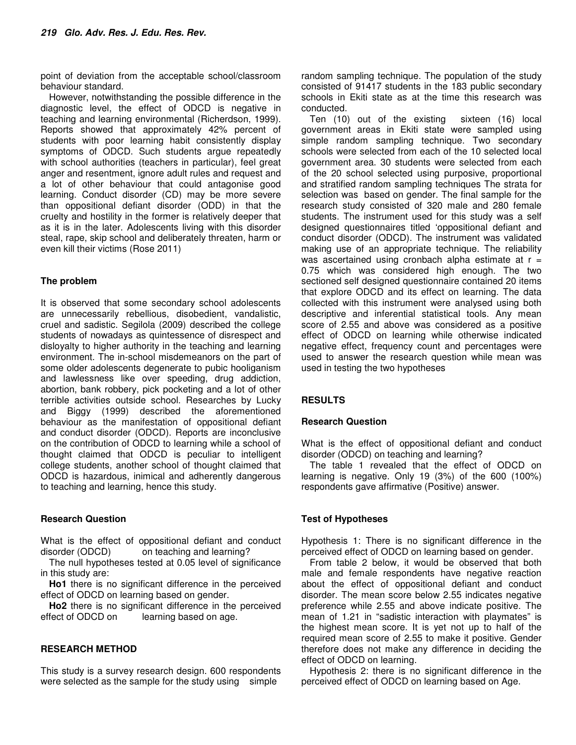point of deviation from the acceptable school/classroom behaviour standard.

However, notwithstanding the possible difference in the diagnostic level, the effect of ODCD is negative in teaching and learning environmental (Richerdson, 1999). Reports showed that approximately 42% percent of students with poor learning habit consistently display symptoms of ODCD. Such students argue repeatedly with school authorities (teachers in particular), feel great anger and resentment, ignore adult rules and request and a lot of other behaviour that could antagonise good learning. Conduct disorder (CD) may be more severe than oppositional defiant disorder (ODD) in that the cruelty and hostility in the former is relatively deeper that as it is in the later. Adolescents living with this disorder steal, rape, skip school and deliberately threaten, harm or even kill their victims (Rose 2011)

### **The problem**

It is observed that some secondary school adolescents are unnecessarily rebellious, disobedient, vandalistic, cruel and sadistic. Segilola (2009) described the college students of nowadays as quintessence of disrespect and disloyalty to higher authority in the teaching and learning environment. The in-school misdemeanors on the part of some older adolescents degenerate to pubic hooliganism and lawlessness like over speeding, drug addiction, abortion, bank robbery, pick pocketing and a lot of other terrible activities outside school. Researches by Lucky and Biggy (1999) described the aforementioned behaviour as the manifestation of oppositional defiant and conduct disorder (ODCD). Reports are inconclusive on the contribution of ODCD to learning while a school of thought claimed that ODCD is peculiar to intelligent college students, another school of thought claimed that ODCD is hazardous, inimical and adherently dangerous to teaching and learning, hence this study.

### **Research Question**

What is the effect of oppositional defiant and conduct disorder (ODCD) on teaching and learning?

The null hypotheses tested at 0.05 level of significance in this study are:

**Ho1** there is no significant difference in the perceived effect of ODCD on learning based on gender.

**Ho2** there is no significant difference in the perceived effect of ODCD on learning based on age.

### **RESEARCH METHOD**

This study is a survey research design. 600 respondents were selected as the sample for the study using simple

random sampling technique. The population of the study consisted of 91417 students in the 183 public secondary schools in Ekiti state as at the time this research was conducted.

Ten (10) out of the existing sixteen (16) local government areas in Ekiti state were sampled using simple random sampling technique. Two secondary schools were selected from each of the 10 selected local government area. 30 students were selected from each of the 20 school selected using purposive, proportional and stratified random sampling techniques The strata for selection was based on gender. The final sample for the research study consisted of 320 male and 280 female students. The instrument used for this study was a self designed questionnaires titled 'oppositional defiant and conduct disorder (ODCD). The instrument was validated making use of an appropriate technique. The reliability was ascertained using cronbach alpha estimate at  $r =$ 0.75 which was considered high enough. The two sectioned self designed questionnaire contained 20 items that explore ODCD and its effect on learning. The data collected with this instrument were analysed using both descriptive and inferential statistical tools. Any mean score of 2.55 and above was considered as a positive effect of ODCD on learning while otherwise indicated negative effect, frequency count and percentages were used to answer the research question while mean was used in testing the two hypotheses

### **RESULTS**

### **Research Question**

What is the effect of oppositional defiant and conduct disorder (ODCD) on teaching and learning?

The table 1 revealed that the effect of ODCD on learning is negative. Only 19 (3%) of the 600 (100%) respondents gave affirmative (Positive) answer.

### **Test of Hypotheses**

Hypothesis 1: There is no significant difference in the perceived effect of ODCD on learning based on gender.

From table 2 below, it would be observed that both male and female respondents have negative reaction about the effect of oppositional defiant and conduct disorder. The mean score below 2.55 indicates negative preference while 2.55 and above indicate positive. The mean of 1.21 in "sadistic interaction with playmates" is the highest mean score. It is yet not up to half of the required mean score of 2.55 to make it positive. Gender therefore does not make any difference in deciding the effect of ODCD on learning.

Hypothesis 2: there is no significant difference in the perceived effect of ODCD on learning based on Age.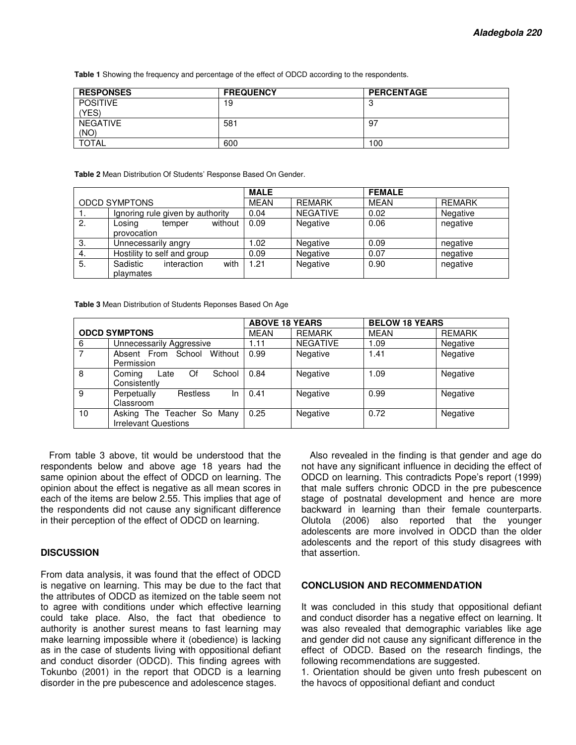**Table 1** Showing the frequency and percentage of the effect of ODCD according to the respondents.

| <b>RESPONSES</b> | <b>FREQUENCY</b> | <b>PERCENTAGE</b> |
|------------------|------------------|-------------------|
| <b>POSITIVE</b>  | 19               | u                 |
| YES)             |                  |                   |
| <b>NEGATIVE</b>  | 581              | -97               |
| (NO)             |                  |                   |
| <b>TOTAL</b>     | 600              | 100               |

**Table 2** Mean Distribution Of Students' Response Based On Gender.

|                      |                                  | <b>MALE</b> |                 | <b>FEMALE</b> |               |
|----------------------|----------------------------------|-------------|-----------------|---------------|---------------|
| <b>ODCD SYMPTONS</b> |                                  | MEAN        | REMARK          | <b>MEAN</b>   | <b>REMARK</b> |
|                      | Ignoring rule given by authority | 0.04        | <b>NEGATIVE</b> | 0.02          | Negative      |
| 2.                   | without<br>Losing<br>temper      | 0.09        | Negative        | 0.06          | negative      |
|                      | provocation                      |             |                 |               |               |
| 3.                   | Unnecessarily angry              | .02         | Negative        | 0.09          | negative      |
| 4.                   | Hostility to self and group      | 0.09        | Negative        | 0.07          | negative      |
| 5.                   | with<br>Sadistic<br>interaction  | 1.21        | Negative        | 0.90          | negative      |
|                      | playmates                        |             |                 |               |               |

**Table 3** Mean Distribution of Students Reponses Based On Age

|                      |                                                           | <b>ABOVE 18 YEARS</b> |                 | <b>BELOW 18 YEARS</b> |               |
|----------------------|-----------------------------------------------------------|-----------------------|-----------------|-----------------------|---------------|
| <b>ODCD SYMPTONS</b> |                                                           | <b>MEAN</b>           | <b>REMARK</b>   | <b>MEAN</b>           | <b>REMARK</b> |
| 6                    | Unnecessarily Aggressive                                  | 1.11                  | <b>NEGATIVE</b> | 1.09                  | Negative      |
|                      | Without<br>Absent From School<br>Permission               | 0.99                  | Negative        | 1.41                  | Negative      |
| 8                    | Of<br>School<br>Coming<br>Late<br>Consistently            | 0.84                  | Negative        | 1.09                  | Negative      |
| 9                    | Perpetually<br>Restless<br>In.<br>Classroom               | 0.41                  | Negative        | 0.99                  | Negative      |
| 10                   | Asking The Teacher So Many<br><b>Irrelevant Questions</b> | 0.25                  | Negative        | 0.72                  | Negative      |

From table 3 above, tit would be understood that the respondents below and above age 18 years had the same opinion about the effect of ODCD on learning. The opinion about the effect is negative as all mean scores in each of the items are below 2.55. This implies that age of the respondents did not cause any significant difference in their perception of the effect of ODCD on learning.

### **DISCUSSION**

From data analysis, it was found that the effect of ODCD is negative on learning. This may be due to the fact that the attributes of ODCD as itemized on the table seem not to agree with conditions under which effective learning could take place. Also, the fact that obedience to authority is another surest means to fast learning may make learning impossible where it (obedience) is lacking as in the case of students living with oppositional defiant and conduct disorder (ODCD). This finding agrees with Tokunbo (2001) in the report that ODCD is a learning disorder in the pre pubescence and adolescence stages.

Also revealed in the finding is that gender and age do not have any significant influence in deciding the effect of ODCD on learning. This contradicts Pope's report (1999) that male suffers chronic ODCD in the pre pubescence stage of postnatal development and hence are more backward in learning than their female counterparts. Olutola (2006) also reported that the younger adolescents are more involved in ODCD than the older adolescents and the report of this study disagrees with that assertion.

### **CONCLUSION AND RECOMMENDATION**

It was concluded in this study that oppositional defiant and conduct disorder has a negative effect on learning. It was also revealed that demographic variables like age and gender did not cause any significant difference in the effect of ODCD. Based on the research findings, the following recommendations are suggested.

1. Orientation should be given unto fresh pubescent on the havocs of oppositional defiant and conduct